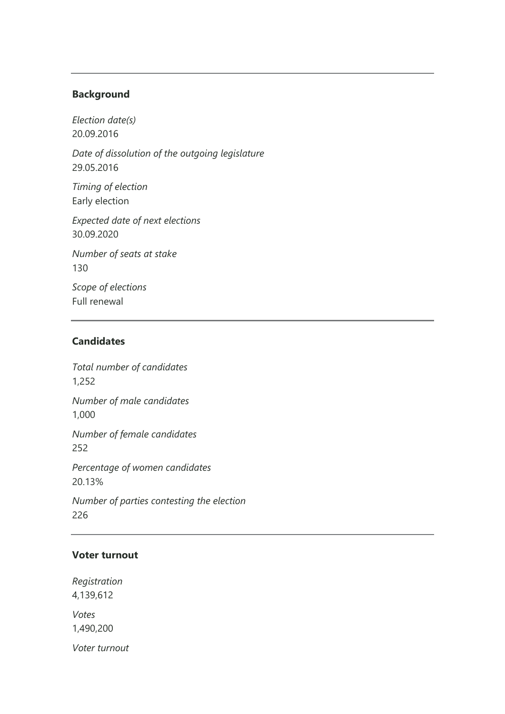#### **Background**

*Election date(s)* 20.09.2016

*Date of dissolution of the outgoing legislature* 29.05.2016

*Timing of election* Early election

*Expected date of next elections* 30.09.2020

*Number of seats at stake* 130

*Scope of elections* Full renewal

## **Candidates**

*Total number of candidates* 1,252 *Number of male candidates* 1,000 *Number of female candidates* 252 *Percentage of women candidates* 20.13% *Number of parties contesting the election* 226

## **Voter turnout**

*Registration* 4,139,612

*Votes* 1,490,200

*Voter turnout*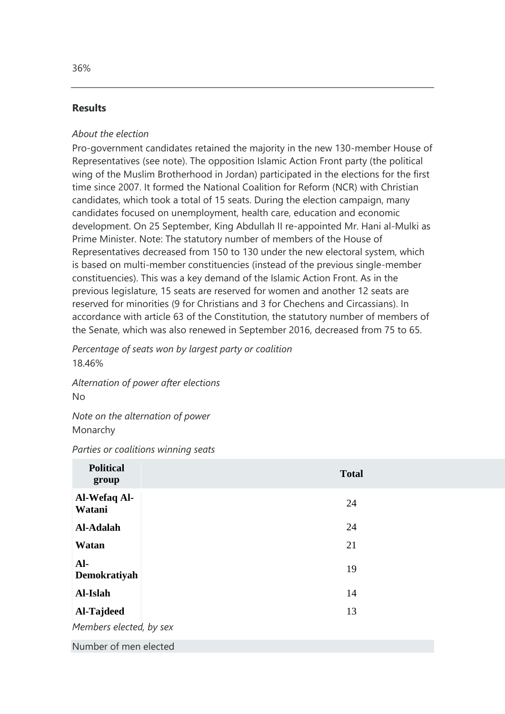### **Results**

#### *About the election*

Pro-government candidates retained the majority in the new 130-member House of Representatives (see note). The opposition Islamic Action Front party (the political wing of the Muslim Brotherhood in Jordan) participated in the elections for the first time since 2007. It formed the National Coalition for Reform (NCR) with Christian candidates, which took a total of 15 seats. During the election campaign, many candidates focused on unemployment, health care, education and economic development. On 25 September, King Abdullah II re-appointed Mr. Hani al-Mulki as Prime Minister. Note: The statutory number of members of the House of Representatives decreased from 150 to 130 under the new electoral system, which is based on multi-member constituencies (instead of the previous single-member constituencies). This was a key demand of the Islamic Action Front. As in the previous legislature, 15 seats are reserved for women and another 12 seats are reserved for minorities (9 for Christians and 3 for Chechens and Circassians). In accordance with article 63 of the Constitution, the statutory number of members of the Senate, which was also renewed in September 2016, decreased from 75 to 65.

*Percentage of seats won by largest party or coalition* 18.46%

*Alternation of power after elections* No

*Note on the alternation of power* Monarchy

*Parties or coalitions winning seats*

| <b>Political</b><br>group | <b>Total</b> |  |
|---------------------------|--------------|--|
| Al-Wefaq Al-<br>Watani    | 24           |  |
| Al-Adalah                 | 24           |  |
| Watan                     | 21           |  |
| $AI-$<br>Demokratiyah     | 19           |  |
| Al-Islah                  | 14           |  |
| Al-Tajdeed                | 13           |  |
| Members elected, by sex   |              |  |
| Number of men elected     |              |  |